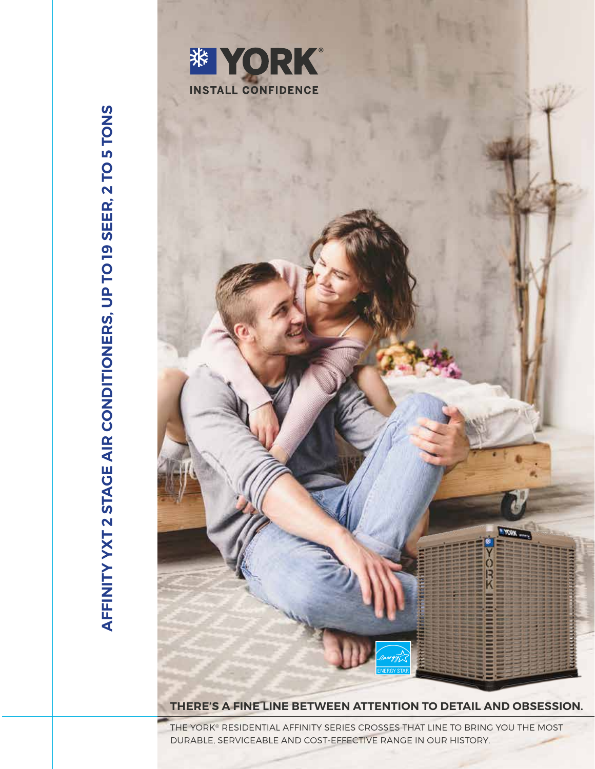



**THERE'S A FINE LINE BETWEEN ATTENTION TO DETAIL AND OBSESSION.**

THE YORK® RESIDENTIAL AFFINITY SERIES CROSSES THAT LINE TO BRING YOU THE MOST DURABLE, SERVICEABLE AND COST-EFFECTIVE RANGE IN OUR HISTORY.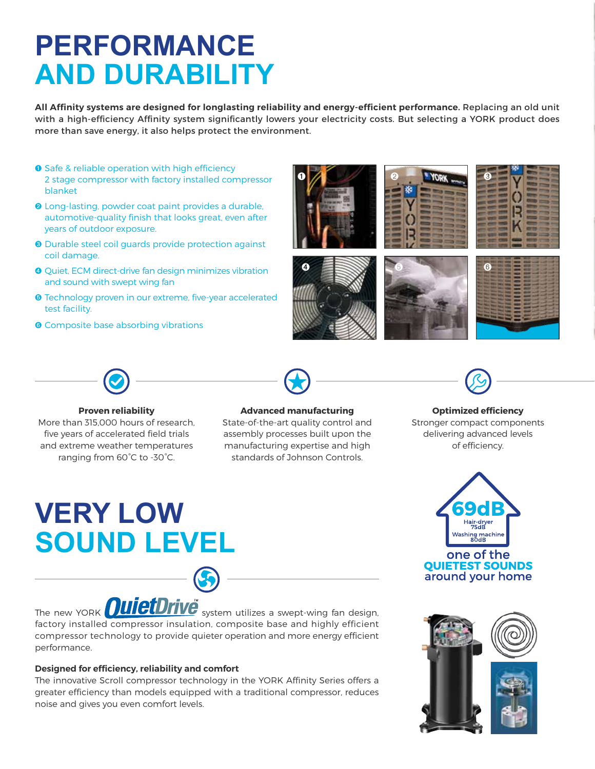## **PERFORMANCE AND DURABILITY**

**All Affinity systems are designed for longlasting reliability and energy-efficient performance.** Replacing an old unit with a high-efficiency Affinity system significantly lowers your electricity costs. But selecting a YORK product does more than save energy, it also helps protect the environment.

- ➊ Safe & reliable operation with high efficiency 2 stage compressor with factory installed compressor blanket
- ➋ Long-lasting, powder coat paint provides a durable, automotive-quality finish that looks great, even after years of outdoor exposure.
- ➌ Durable steel coil guards provide protection against coil damage.
- ➍ Quiet, ECM direct-drive fan design minimizes vibration and sound with swept wing fan
- ➎ Technology proven in our extreme, five-year accelerated test facility.
- **O** Composite base absorbing vibrations









**Proven reliability** More than 315,000 hours of research, five years of accelerated field trials and extreme weather temperatures ranging from 60°C to -30°C.



### **Optimized efficiency** Stronger compact components delivering advanced levels of efficiency.

# **VERY LOW SOUND LEVEL**

### **Advanced manufacturing**

State-of-the-art quality control and assembly processes built upon the manufacturing expertise and high standards of Johnson Controls.



The new YORK **OUICIDITVE** system utilizes a swept-wing fan design, factory installed compressor insulation, composite base and highly efficient compressor technology to provide quieter operation and more energy efficient performance.

### **Designed for efficiency, reliability and comfort**

The innovative Scroll compressor technology in the YORK Affinity Series offers a greater efficiency than models equipped with a traditional compressor, reduces noise and gives you even comfort levels.

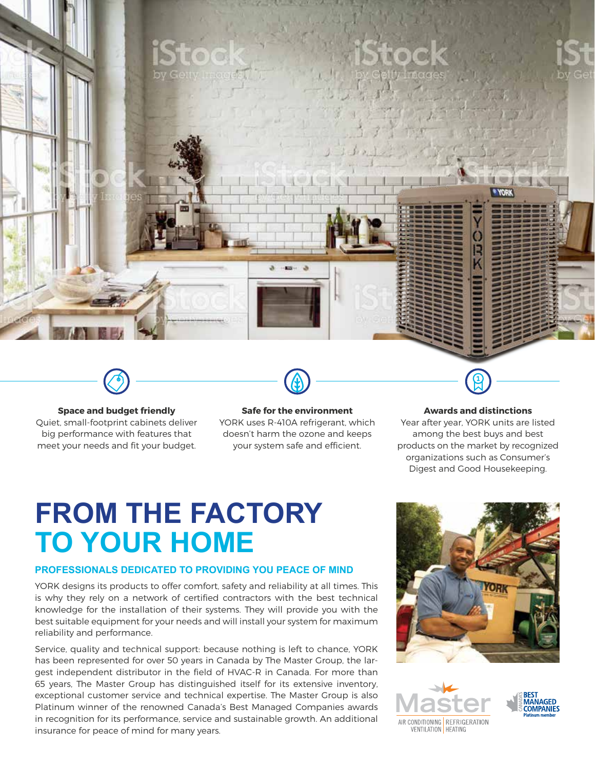

### **Space and budget friendly**

Quiet, small-footprint cabinets deliver big performance with features that meet your needs and fit your budget.

### **Safe for the environment**

YORK uses R-410A refrigerant, which doesn't harm the ozone and keeps your system safe and efficient.

### **Awards and distinctions**

Year after year, YORK units are listed among the best buys and best products on the market by recognized organizations such as Consumer's Digest and Good Housekeeping.

### **FROM THE FACTORY TO YOUR HOME**

### **PROFESSIONALS DEDICATED TO PROVIDING YOU PEACE OF MIND**

YORK designs its products to offer comfort, safety and reliability at all times. This is why they rely on a network of certified contractors with the best technical knowledge for the installation of their systems. They will provide you with the best suitable equipment for your needs and will install your system for maximum reliability and performance.

Service, quality and technical support: because nothing is left to chance, YORK has been represented for over 50 years in Canada by The Master Group, the largest independent distributor in the field of HVAC-R in Canada. For more than 65 years, The Master Group has distinguished itself for its extensive inventory, exceptional customer service and technical expertise. The Master Group is also Platinum winner of the renowned Canada's Best Managed Companies awards in recognition for its performance, service and sustainable growth. An additional insurance for peace of mind for many years.